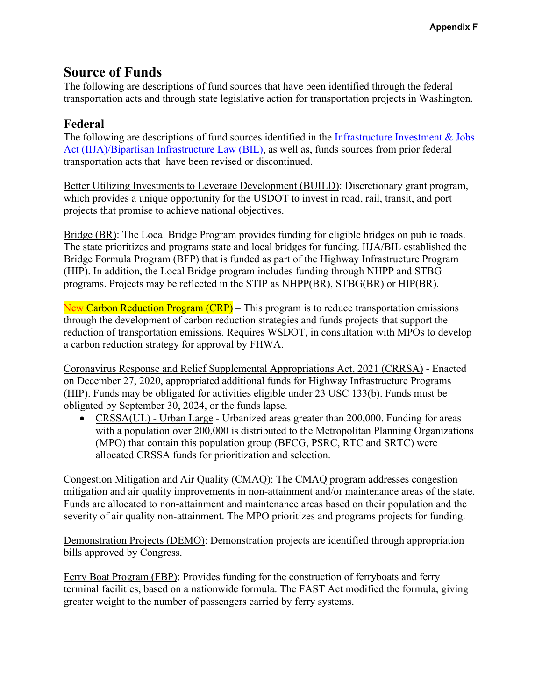## **Source of Funds**

The following are descriptions of fund sources that have been identified through the federal transportation acts and through state legislative action for transportation projects in Washington.

## **Federal**

The following are descriptions of fund sources identified in the Infrastructure Investment  $\&$  Jobs Act (IIJA)/Bipartisan Infrastructure Law (BIL), as well as, funds sources from prior federal transportation acts that have been revised or discontinued.

Better Utilizing Investments to Leverage Development (BUILD): Discretionary grant program, which provides a unique opportunity for the USDOT to invest in road, rail, transit, and port projects that promise to achieve national objectives.

Bridge (BR): The Local Bridge Program provides funding for eligible bridges on public roads. The state prioritizes and programs state and local bridges for funding. IIJA/BIL established the Bridge Formula Program (BFP) that is funded as part of the Highway Infrastructure Program (HIP). In addition, the Local Bridge program includes funding through NHPP and STBG programs. Projects may be reflected in the STIP as NHPP(BR), STBG(BR) or HIP(BR).

New Carbon Reduction Program (CRP) – This program is to reduce transportation emissions through the development of carbon reduction strategies and funds projects that support the reduction of transportation emissions. Requires WSDOT, in consultation with MPOs to develop a carbon reduction strategy for approval by FHWA.

Coronavirus Response and Relief Supplemental Appropriations Act, 2021 (CRRSA) - Enacted on December 27, 2020, appropriated additional funds for Highway Infrastructure Programs (HIP). Funds may be obligated for activities eligible under 23 USC 133(b). Funds must be obligated by September 30, 2024, or the funds lapse.

 CRSSA(UL) - Urban Large - Urbanized areas greater than 200,000. Funding for areas with a population over 200,000 is distributed to the Metropolitan Planning Organizations (MPO) that contain this population group (BFCG, PSRC, RTC and SRTC) were allocated CRSSA funds for prioritization and selection.

Congestion Mitigation and Air Quality (CMAQ): The CMAQ program addresses congestion mitigation and air quality improvements in non-attainment and/or maintenance areas of the state. Funds are allocated to non-attainment and maintenance areas based on their population and the severity of air quality non-attainment. The MPO prioritizes and programs projects for funding.

Demonstration Projects (DEMO): Demonstration projects are identified through appropriation bills approved by Congress.

Ferry Boat Program (FBP): Provides funding for the construction of ferryboats and ferry terminal facilities, based on a nationwide formula. The FAST Act modified the formula, giving greater weight to the number of passengers carried by ferry systems.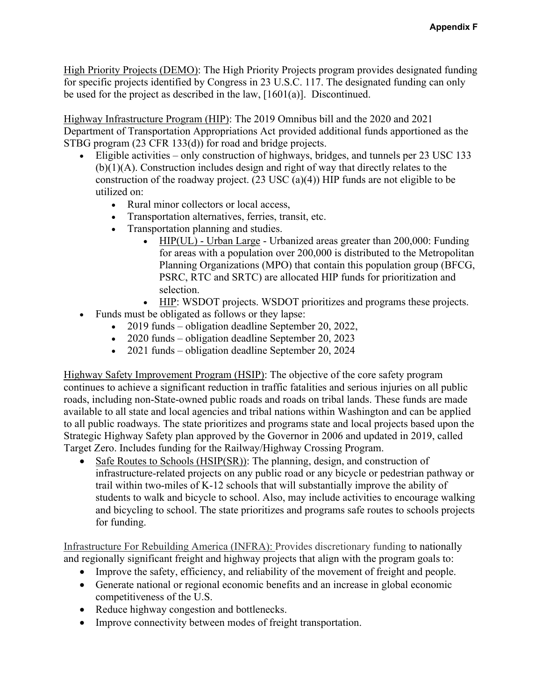High Priority Projects (DEMO): The High Priority Projects program provides designated funding for specific projects identified by Congress in 23 U.S.C. 117. The designated funding can only be used for the project as described in the law, [1601(a)]. Discontinued.

Highway Infrastructure Program (HIP): The 2019 Omnibus bill and the 2020 and 2021 Department of Transportation Appropriations Act provided additional funds apportioned as the STBG program (23 CFR 133(d)) for road and bridge projects.

- Eligible activities only construction of highways, bridges, and tunnels per 23 USC 133 (b)(1)(A). Construction includes design and right of way that directly relates to the construction of the roadway project. (23 USC (a)(4)) HIP funds are not eligible to be utilized on:
	- Rural minor collectors or local access,
	- Transportation alternatives, ferries, transit, etc.
	- Transportation planning and studies.
		- HIP(UL) Urban Large Urbanized areas greater than 200,000: Funding for areas with a population over 200,000 is distributed to the Metropolitan Planning Organizations (MPO) that contain this population group (BFCG, PSRC, RTC and SRTC) are allocated HIP funds for prioritization and selection.
		- HIP: WSDOT projects. WSDOT prioritizes and programs these projects.
- Funds must be obligated as follows or they lapse:
	- 2019 funds obligation deadline September 20, 2022,
	- 2020 funds obligation deadline September 20, 2023
	- 2021 funds obligation deadline September 20, 2024

Highway Safety Improvement Program (HSIP): The objective of the core safety program continues to achieve a significant reduction in traffic fatalities and serious injuries on all public roads, including non-State-owned public roads and roads on tribal lands. These funds are made available to all state and local agencies and tribal nations within Washington and can be applied to all public roadways. The state prioritizes and programs state and local projects based upon the Strategic Highway Safety plan approved by the Governor in 2006 and updated in 2019, called Target Zero. Includes funding for the Railway/Highway Crossing Program.

• Safe Routes to Schools (HSIP(SR)): The planning, design, and construction of infrastructure-related projects on any public road or any bicycle or pedestrian pathway or trail within two-miles of K-12 schools that will substantially improve the ability of students to walk and bicycle to school. Also, may include activities to encourage walking and bicycling to school. The state prioritizes and programs safe routes to schools projects for funding.

Infrastructure For Rebuilding America (INFRA): Provides discretionary funding to nationally and regionally significant freight and highway projects that align with the program goals to:

- Improve the safety, efficiency, and reliability of the movement of freight and people.
- Generate national or regional economic benefits and an increase in global economic competitiveness of the U.S.
- Reduce highway congestion and bottlenecks.
- Improve connectivity between modes of freight transportation.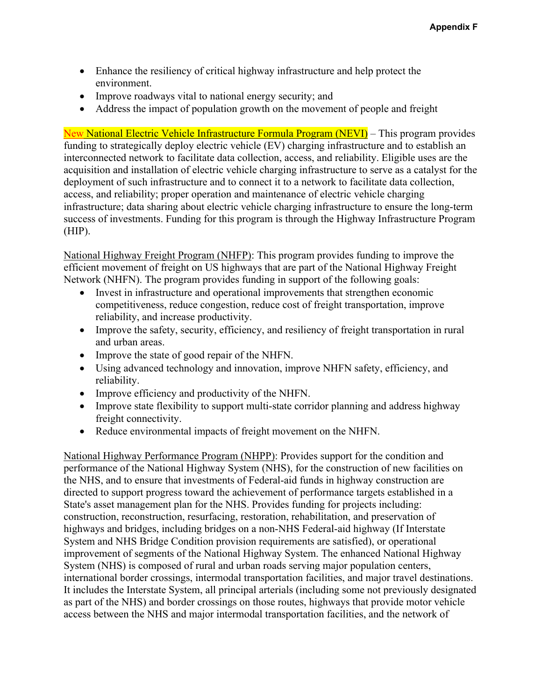- Enhance the resiliency of critical highway infrastructure and help protect the environment.
- Improve roadways vital to national energy security; and
- Address the impact of population growth on the movement of people and freight

New National Electric Vehicle Infrastructure Formula Program (NEVI) – This program provides funding to strategically deploy electric vehicle (EV) charging infrastructure and to establish an interconnected network to facilitate data collection, access, and reliability. Eligible uses are the acquisition and installation of electric vehicle charging infrastructure to serve as a catalyst for the deployment of such infrastructure and to connect it to a network to facilitate data collection, access, and reliability; proper operation and maintenance of electric vehicle charging infrastructure; data sharing about electric vehicle charging infrastructure to ensure the long-term success of investments. Funding for this program is through the Highway Infrastructure Program (HIP).

National Highway Freight Program (NHFP): This program provides funding to improve the efficient movement of freight on US highways that are part of the National Highway Freight Network (NHFN). The program provides funding in support of the following goals:

- Invest in infrastructure and operational improvements that strengthen economic competitiveness, reduce congestion, reduce cost of freight transportation, improve reliability, and increase productivity.
- Improve the safety, security, efficiency, and resiliency of freight transportation in rural and urban areas.
- Improve the state of good repair of the NHFN.
- Using advanced technology and innovation, improve NHFN safety, efficiency, and reliability.
- Improve efficiency and productivity of the NHFN.
- Improve state flexibility to support multi-state corridor planning and address highway freight connectivity.
- Reduce environmental impacts of freight movement on the NHFN.

international border crossings, intermodal transportation facilities, and major travel destinations. National Highway Performance Program (NHPP): Provides support for the condition and performance of the National Highway System (NHS), for the construction of new facilities on the NHS, and to ensure that investments of Federal-aid funds in highway construction are directed to support progress toward the achievement of performance targets established in a State's asset management plan for the NHS. Provides funding for projects including: construction, reconstruction, resurfacing, restoration, rehabilitation, and preservation of highways and bridges, including bridges on a non-NHS Federal-aid highway (If Interstate System and NHS Bridge Condition provision requirements are satisfied), or operational improvement of segments of the National Highway System. The enhanced National Highway System (NHS) is composed of rural and urban roads serving major population centers, It includes the Interstate System, all principal arterials (including some not previously designated as part of the NHS) and border crossings on those routes, highways that provide motor vehicle access between the NHS and major intermodal transportation facilities, and the network of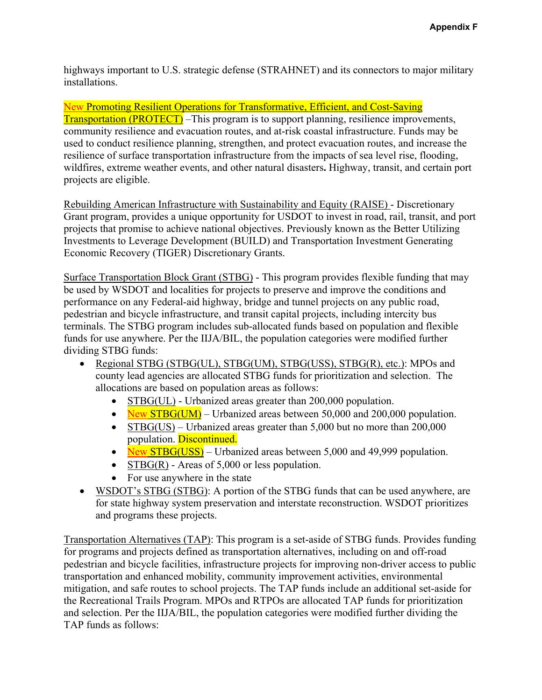installations. highways important to U.S. strategic defense (STRAHNET) and its connectors to major military

New Promoting Resilient Operations for Transformative, Efficient, and Cost-Saving Transportation (PROTECT) –This program is to support planning, resilience improvements, community resilience and evacuation routes, and at-risk coastal infrastructure. Funds may be used to conduct resilience planning, strengthen, and protect evacuation routes, and increase the resilience of surface transportation infrastructure from the impacts of sea level rise, flooding, wildfires, extreme weather events, and other natural disasters**.** Highway, transit, and certain port projects are eligible.

Rebuilding American Infrastructure with Sustainability and Equity (RAISE) - Discretionary Grant program, provides a unique opportunity for USDOT to invest in road, rail, transit, and port projects that promise to achieve national objectives. Previously known as the Better Utilizing Investments to Leverage Development (BUILD) and Transportation Investment Generating Economic Recovery (TIGER) Discretionary Grants.

Surface Transportation Block Grant (STBG) - This program provides flexible funding that may be used by WSDOT and localities for projects to preserve and improve the conditions and performance on any Federal-aid highway, bridge and tunnel projects on any public road, pedestrian and bicycle infrastructure, and transit capital projects, including intercity bus terminals. The STBG program includes sub-allocated funds based on population and flexible funds for use anywhere. Per the IIJA/BIL, the population categories were modified further dividing STBG funds:

- Regional STBG (STBG(UL), STBG(UM), STBG(USS), STBG(R), etc.): MPOs and county lead agencies are allocated STBG funds for prioritization and selection. The allocations are based on population areas as follows:
	- STBG(UL) Urbanized areas greater than 200,000 population.
	- New STBG(UM) Urbanized areas between 50,000 and 200,000 population.
	- $\bullet$  STBG(US) Urbanized areas greater than 5,000 but no more than 200,000 population. Discontinued.
	- New  $STBG(USS)$  Urbanized areas between 5,000 and 49,999 population.
	- $STBG(R)$  Areas of 5,000 or less population.
	- For use anywhere in the state
- WSDOT's STBG (STBG): A portion of the STBG funds that can be used anywhere, are for state highway system preservation and interstate reconstruction. WSDOT prioritizes and programs these projects.

Transportation Alternatives (TAP): This program is a set-aside of STBG funds. Provides funding for programs and projects defined as transportation alternatives, including on and off-road pedestrian and bicycle facilities, infrastructure projects for improving non-driver access to public transportation and enhanced mobility, community improvement activities, environmental mitigation, and safe routes to school projects. The TAP funds include an additional set-aside for the Recreational Trails Program. MPOs and RTPOs are allocated TAP funds for prioritization and selection. Per the IIJA/BIL, the population categories were modified further dividing the TAP funds as follows: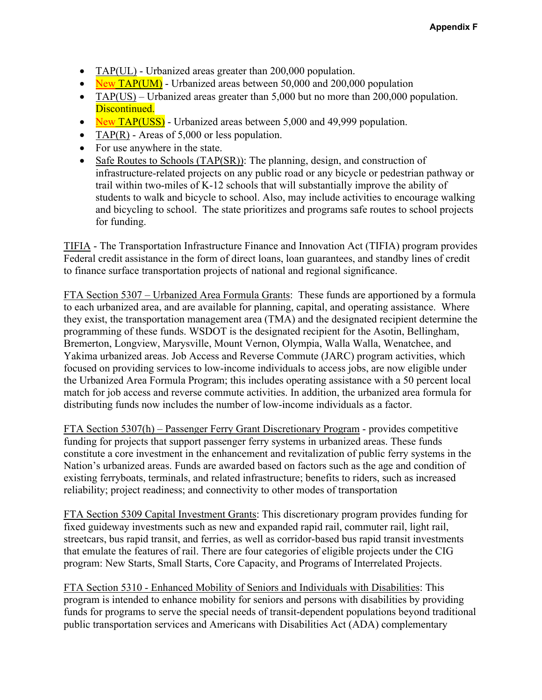- $TAP(UL)$  Urbanized areas greater than 200,000 population.
- $\sim$  New TAP(UM) Urbanized areas between 50,000 and 200,000 population
- TAP(US) Urbanized areas greater than  $5,000$  but no more than  $200,000$  population. Discontinued.
- New TAP(USS) Urbanized areas between 5,000 and 49,999 population.
- TAP(R) Areas of 5,000 or less population.
- For use anywhere in the state.
- Safe Routes to Schools (TAP(SR)): The planning, design, and construction of infrastructure-related projects on any public road or any bicycle or pedestrian pathway or trail within two-miles of K-12 schools that will substantially improve the ability of students to walk and bicycle to school. Also, may include activities to encourage walking and bicycling to school. The state prioritizes and programs safe routes to school projects for funding.

TIFIA - The Transportation Infrastructure Finance and Innovation Act (TIFIA) program provides Federal credit assistance in the form of direct loans, loan guarantees, and standby lines of credit to finance surface transportation projects of national and regional significance.

FTA Section 5307 – Urbanized Area Formula Grants: These funds are apportioned by a formula to each urbanized area, and are available for planning, capital, and operating assistance. Where they exist, the transportation management area (TMA) and the designated recipient determine the programming of these funds. WSDOT is the designated recipient for the Asotin, Bellingham, Bremerton, Longview, Marysville, Mount Vernon, Olympia, Walla Walla, Wenatchee, and Yakima urbanized areas. Job Access and Reverse Commute (JARC) program activities, which focused on providing services to low-income individuals to access jobs, are now eligible under the Urbanized Area Formula Program; this includes operating assistance with a 50 percent local match for job access and reverse commute activities. In addition, the urbanized area formula for distributing funds now includes the number of low-income individuals as a factor.

FTA Section 5307(h) – Passenger Ferry Grant Discretionary Program - provides competitive funding for projects that support passenger ferry systems in urbanized areas. These funds constitute a core investment in the enhancement and revitalization of public ferry systems in the Nation's urbanized areas. Funds are awarded based on factors such as the age and condition of existing ferryboats, terminals, and related infrastructure; benefits to riders, such as increased reliability; project readiness; and connectivity to other modes of transportation

FTA Section 5309 Capital Investment Grants: This discretionary program provides funding for fixed guideway investments such as new and expanded rapid rail, commuter rail, light rail, streetcars, bus rapid transit, and ferries, as well as corridor-based bus rapid transit investments that emulate the features of rail. There are four categories of eligible projects under the CIG program: New Starts, Small Starts, Core Capacity, and Programs of Interrelated Projects.

FTA Section 5310 - Enhanced Mobility of Seniors and Individuals with Disabilities: This program is intended to enhance mobility for seniors and persons with disabilities by providing funds for programs to serve the special needs of transit-dependent populations beyond traditional public transportation services and Americans with Disabilities Act (ADA) complementary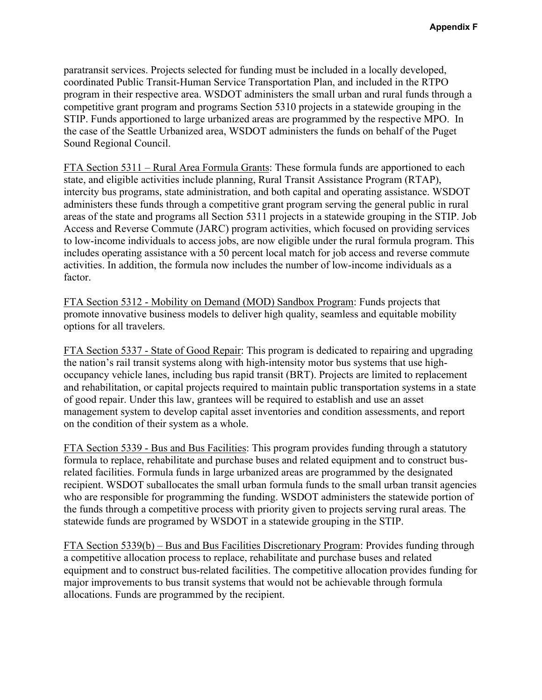paratransit services. Projects selected for funding must be included in a locally developed, coordinated Public Transit-Human Service Transportation Plan, and included in the RTPO program in their respective area. WSDOT administers the small urban and rural funds through a competitive grant program and programs Section 5310 projects in a statewide grouping in the STIP. Funds apportioned to large urbanized areas are programmed by the respective MPO. In the case of the Seattle Urbanized area, WSDOT administers the funds on behalf of the Puget Sound Regional Council.

FTA Section 5311 – Rural Area Formula Grants: These formula funds are apportioned to each state, and eligible activities include planning, Rural Transit Assistance Program (RTAP), intercity bus programs, state administration, and both capital and operating assistance. WSDOT administers these funds through a competitive grant program serving the general public in rural areas of the state and programs all Section 5311 projects in a statewide grouping in the STIP. Job Access and Reverse Commute (JARC) program activities, which focused on providing services to low-income individuals to access jobs, are now eligible under the rural formula program. This includes operating assistance with a 50 percent local match for job access and reverse commute activities. In addition, the formula now includes the number of low-income individuals as a factor.

FTA Section 5312 - Mobility on Demand (MOD) Sandbox Program: Funds projects that promote innovative business models to deliver high quality, seamless and equitable mobility options for all travelers.

FTA Section 5337 - State of Good Repair: This program is dedicated to repairing and upgrading the nation's rail transit systems along with high-intensity motor bus systems that use highoccupancy vehicle lanes, including bus rapid transit (BRT). Projects are limited to replacement and rehabilitation, or capital projects required to maintain public transportation systems in a state of good repair. Under this law, grantees will be required to establish and use an asset management system to develop capital asset inventories and condition assessments, and report on the condition of their system as a whole.

FTA Section 5339 - Bus and Bus Facilities: This program provides funding through a statutory formula to replace, rehabilitate and purchase buses and related equipment and to construct busrelated facilities. Formula funds in large urbanized areas are programmed by the designated recipient. WSDOT suballocates the small urban formula funds to the small urban transit agencies who are responsible for programming the funding. WSDOT administers the statewide portion of the funds through a competitive process with priority given to projects serving rural areas. The statewide funds are programed by WSDOT in a statewide grouping in the STIP.

FTA Section 5339(b) – Bus and Bus Facilities Discretionary Program: Provides funding through a competitive allocation process to replace, rehabilitate and purchase buses and related equipment and to construct bus-related facilities. The competitive allocation provides funding for major improvements to bus transit systems that would not be achievable through formula allocations. Funds are programmed by the recipient.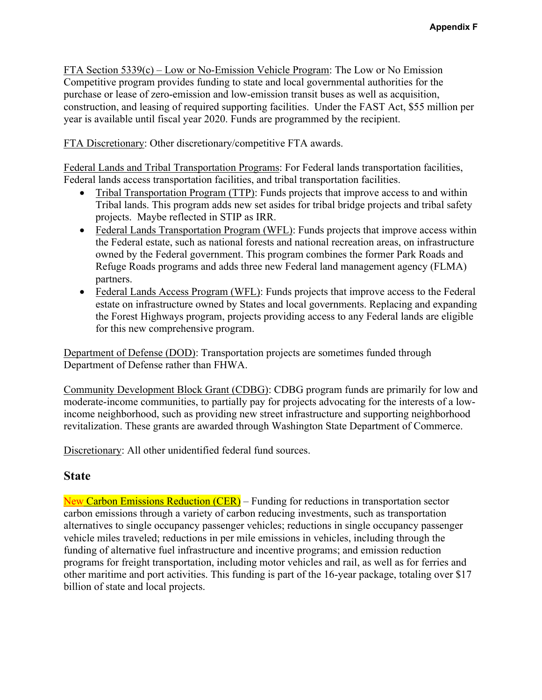FTA Section 5339(c) – Low or No-Emission Vehicle Program: The Low or No Emission Competitive program provides funding to state and local governmental authorities for the purchase or lease of zero-emission and low-emission transit buses as well as acquisition, construction, and leasing of required supporting facilities. Under the FAST Act, \$55 million per year is available until fiscal year 2020. Funds are programmed by the recipient.

FTA Discretionary: Other discretionary/competitive FTA awards.

Federal Lands and Tribal Transportation Programs: For Federal lands transportation facilities, Federal lands access transportation facilities, and tribal transportation facilities.

- Tribal Transportation Program (TTP): Funds projects that improve access to and within Tribal lands. This program adds new set asides for tribal bridge projects and tribal safety projects. Maybe reflected in STIP as IRR.
- Federal Lands Transportation Program (WFL): Funds projects that improve access within the Federal estate, such as national forests and national recreation areas, on infrastructure owned by the Federal government. This program combines the former Park Roads and Refuge Roads programs and adds three new Federal land management agency (FLMA) partners.
- Federal Lands Access Program (WFL): Funds projects that improve access to the Federal estate on infrastructure owned by States and local governments. Replacing and expanding the Forest Highways program, projects providing access to any Federal lands are eligible for this new comprehensive program.

Department of Defense (DOD): Transportation projects are sometimes funded through Department of Defense rather than FHWA.

Community Development Block Grant (CDBG): CDBG program funds are primarily for low and moderate-income communities, to partially pay for projects advocating for the interests of a lowincome neighborhood, such as providing new street infrastructure and supporting neighborhood revitalization. These grants are awarded through Washington State Department of Commerce.

Discretionary: All other unidentified federal fund sources.

## **State**

New Carbon Emissions Reduction (CER) – Funding for reductions in transportation sector carbon emissions through a variety of carbon reducing investments, such as transportation alternatives to single occupancy passenger vehicles; reductions in single occupancy passenger vehicle miles traveled; reductions in per mile emissions in vehicles, including through the funding of alternative fuel infrastructure and incentive programs; and emission reduction programs for freight transportation, including motor vehicles and rail, as well as for ferries and other maritime and port activities. This funding is part of the 16-year package, totaling over \$17 billion of state and local projects.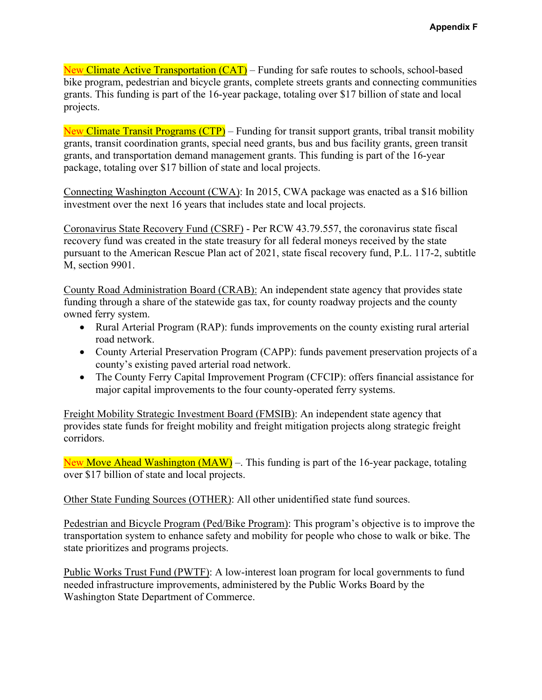New Climate Active Transportation (CAT) – Funding for safe routes to schools, school-based bike program, pedestrian and bicycle grants, complete streets grants and connecting communities grants. This funding is part of the 16-year package, totaling over \$17 billion of state and local projects.

New Climate Transit Programs (CTP) – Funding for transit support grants, tribal transit mobility grants, transit coordination grants, special need grants, bus and bus facility grants, green transit grants, and transportation demand management grants. This funding is part of the 16-year package, totaling over \$17 billion of state and local projects.

Connecting Washington Account (CWA): In 2015, CWA package was enacted as a \$16 billion investment over the next 16 years that includes state and local projects.

Coronavirus State Recovery Fund (CSRF) - Per RCW 43.79.557, the coronavirus state fiscal recovery fund was created in the state treasury for all federal moneys received by the state pursuant to the American Rescue Plan act of 2021, state fiscal recovery fund, P.L. 117-2, subtitle M, section 9901.

County Road Administration Board (CRAB): An independent state agency that provides state funding through a share of the statewide gas tax, for county roadway projects and the county owned ferry system.

- Rural Arterial Program (RAP): funds improvements on the county existing rural arterial road network.
- County Arterial Preservation Program (CAPP): funds pavement preservation projects of a county's existing paved arterial road network.
- The County Ferry Capital Improvement Program (CFCIP): offers financial assistance for major capital improvements to the four county-operated ferry systems.

Freight Mobility Strategic Investment Board (FMSIB): An independent state agency that provides state funds for freight mobility and freight mitigation projects along strategic freight corridors.

New Move Ahead Washington (MAW) –. This funding is part of the 16-year package, totaling over \$17 billion of state and local projects.

Other State Funding Sources (OTHER): All other unidentified state fund sources.

Pedestrian and Bicycle Program (Ped/Bike Program): This program's objective is to improve the transportation system to enhance safety and mobility for people who chose to walk or bike. The state prioritizes and programs projects.

Public Works Trust Fund (PWTF): A low-interest loan program for local governments to fund needed infrastructure improvements, administered by the Public Works Board by the Washington State Department of Commerce.